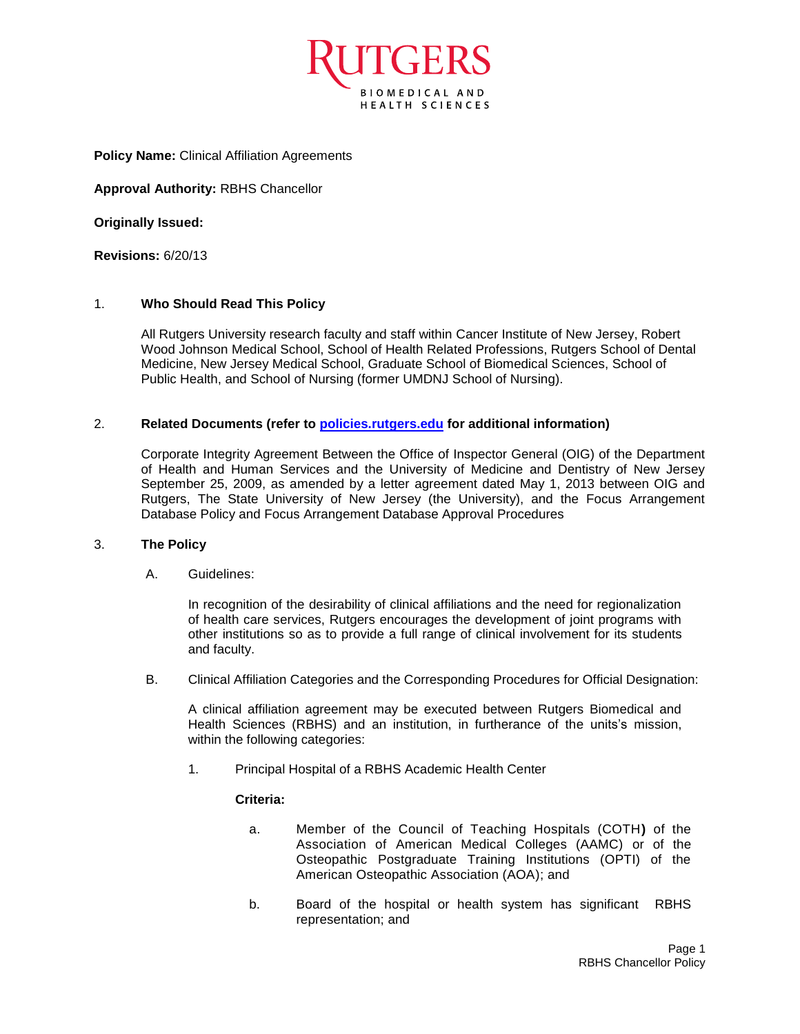

## **Policy Name:** Clinical Affiliation Agreements

**Approval Authority:** RBHS Chancellor

**Originally Issued:** 

**Revisions:** 6/20/13

# 1. **Who Should Read This Policy**

All Rutgers University research faculty and staff within Cancer Institute of New Jersey, Robert Wood Johnson Medical School, School of Health Related Professions, Rutgers School of Dental Medicine, New Jersey Medical School, Graduate School of Biomedical Sciences, School of Public Health, and School of Nursing (former UMDNJ School of Nursing).

# 2. **Related Documents (refer to [policies.rutgers.edu](file:///C:/Users/rsedlackpr001/Documents/Rutgers/Policies/RBHS%20Policies/policies.rutgers.edu) for additional information)**

Corporate Integrity Agreement Between the Office of Inspector General (OIG) of the Department of Health and Human Services and the University of Medicine and Dentistry of New Jersey September 25, 2009, as amended by a letter agreement dated May 1, 2013 between OIG and Rutgers, The State University of New Jersey (the University), and the Focus Arrangement Database Policy and Focus Arrangement Database Approval Procedures

## 3. **The Policy**

A. Guidelines:

In recognition of the desirability of clinical affiliations and the need for regionalization of health care services, Rutgers encourages the development of joint programs with other institutions so as to provide a full range of clinical involvement for its students and faculty.

B. Clinical Affiliation Categories and the Corresponding Procedures for Official Designation:

A clinical affiliation agreement may be executed between Rutgers Biomedical and Health Sciences (RBHS) and an institution, in furtherance of the units's mission, within the following categories:

1. Principal Hospital of a RBHS Academic Health Center

## **Criteria:**

- a. Member of the Council of Teaching Hospitals (COTH**)** of the Association of American Medical Colleges (AAMC) or of the Osteopathic Postgraduate Training Institutions (OPTI) of the American Osteopathic Association (AOA); and
- b. Board of the hospital or health system has significant RBHS representation; and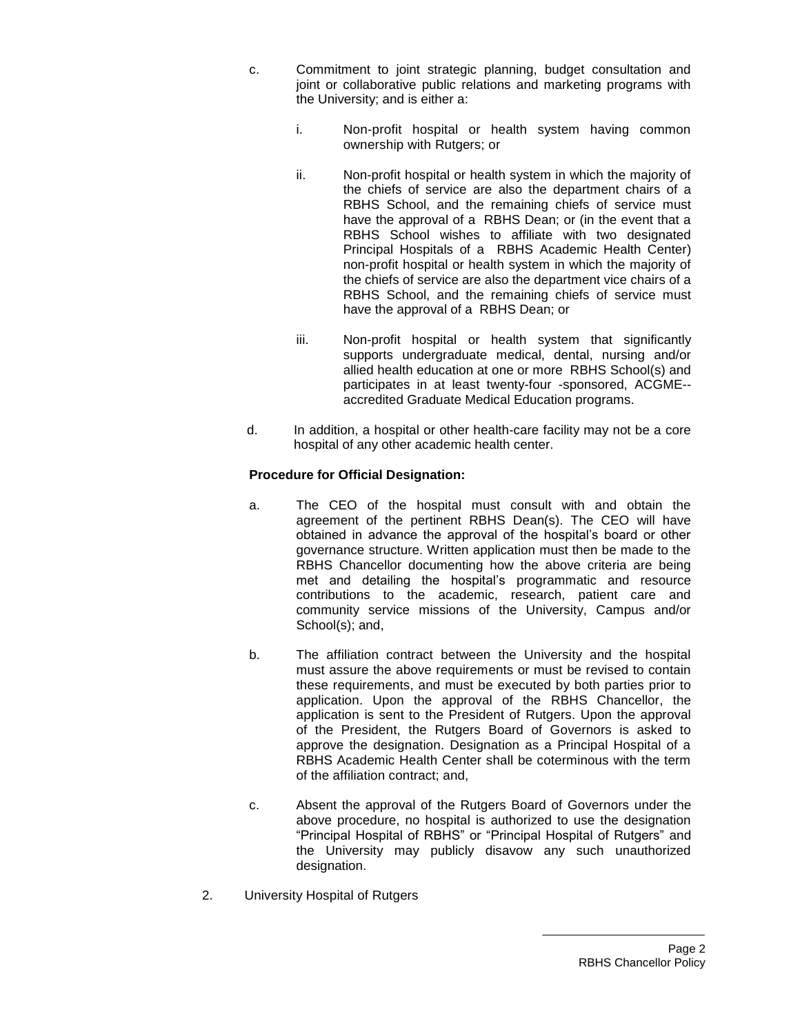- c. Commitment to joint strategic planning, budget consultation and joint or collaborative public relations and marketing programs with the University; and is either a:
	- i. Non-profit hospital or health system having common ownership with Rutgers; or
	- ii. Non-profit hospital or health system in which the majority of the chiefs of service are also the department chairs of a RBHS School, and the remaining chiefs of service must have the approval of a RBHS Dean; or (in the event that a RBHS School wishes to affiliate with two designated Principal Hospitals of a RBHS Academic Health Center) non-profit hospital or health system in which the majority of the chiefs of service are also the department vice chairs of a RBHS School, and the remaining chiefs of service must have the approval of a RBHS Dean; or
	- iii. Non-profit hospital or health system that significantly supports undergraduate medical, dental, nursing and/or allied health education at one or more RBHS School(s) and participates in at least twenty-four -sponsored, ACGME- accredited Graduate Medical Education programs.
- d. In addition, a hospital or other health-care facility may not be a core hospital of any other academic health center.

# **Procedure for Official Designation:**

- a. The CEO of the hospital must consult with and obtain the agreement of the pertinent RBHS Dean(s). The CEO will have obtained in advance the approval of the hospital's board or other governance structure. Written application must then be made to the RBHS Chancellor documenting how the above criteria are being met and detailing the hospital's programmatic and resource contributions to the academic, research, patient care and community service missions of the University, Campus and/or School(s); and,
- b. The affiliation contract between the University and the hospital must assure the above requirements or must be revised to contain these requirements, and must be executed by both parties prior to application. Upon the approval of the RBHS Chancellor, the application is sent to the President of Rutgers. Upon the approval of the President, the Rutgers Board of Governors is asked to approve the designation. Designation as a Principal Hospital of a RBHS Academic Health Center shall be coterminous with the term of the affiliation contract; and,
- c. Absent the approval of the Rutgers Board of Governors under the above procedure, no hospital is authorized to use the designation "Principal Hospital of RBHS" or "Principal Hospital of Rutgers" and the University may publicly disavow any such unauthorized designation.
- 2. University Hospital of Rutgers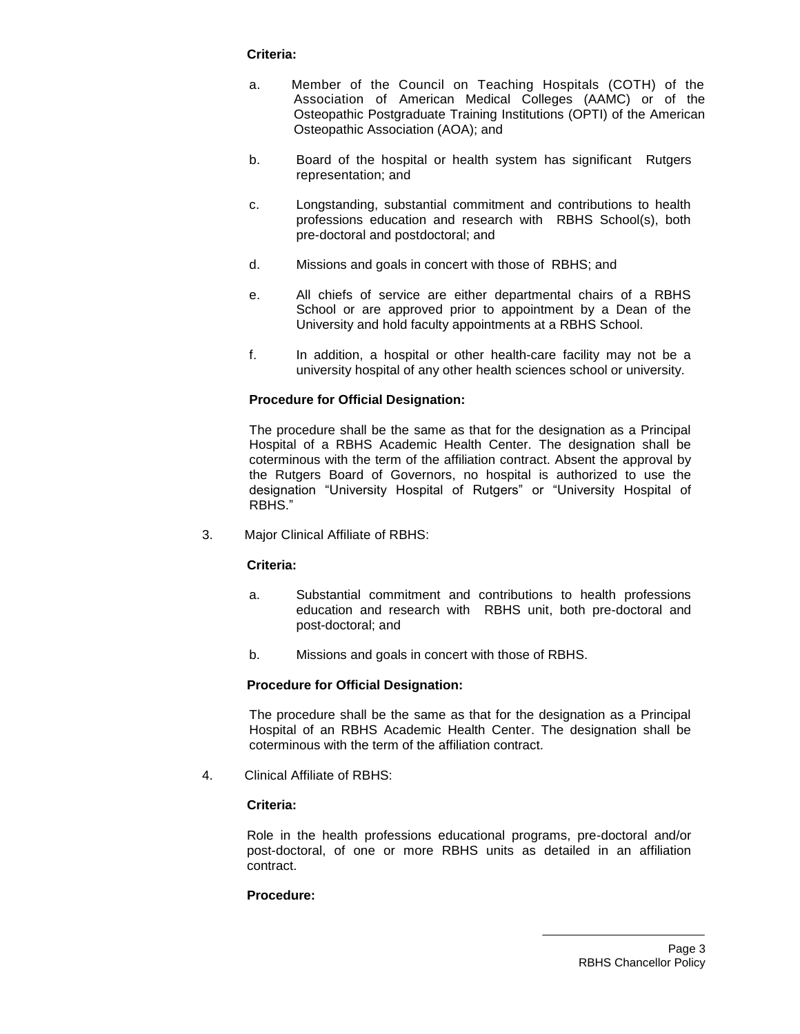## **Criteria:**

- a. Member of the Council on Teaching Hospitals (COTH) of the Association of American Medical Colleges (AAMC) or of the Osteopathic Postgraduate Training Institutions (OPTI) of the American Osteopathic Association (AOA); and
- b. Board of the hospital or health system has significant Rutgers representation; and
- c. Longstanding, substantial commitment and contributions to health professions education and research with RBHS School(s), both pre-doctoral and postdoctoral; and
- d. Missions and goals in concert with those of RBHS; and
- e. All chiefs of service are either departmental chairs of a RBHS School or are approved prior to appointment by a Dean of the University and hold faculty appointments at a RBHS School.
- f. In addition, a hospital or other health-care facility may not be a university hospital of any other health sciences school or university.

# **Procedure for Official Designation:**

The procedure shall be the same as that for the designation as a Principal Hospital of a RBHS Academic Health Center. The designation shall be coterminous with the term of the affiliation contract. Absent the approval by the Rutgers Board of Governors, no hospital is authorized to use the designation "University Hospital of Rutgers" or "University Hospital of RBHS."

3. Major Clinical Affiliate of RBHS:

## **Criteria:**

- a. Substantial commitment and contributions to health professions education and research with RBHS unit, both pre-doctoral and post-doctoral; and
- b. Missions and goals in concert with those of RBHS.

# **Procedure for Official Designation:**

The procedure shall be the same as that for the designation as a Principal Hospital of an RBHS Academic Health Center. The designation shall be coterminous with the term of the affiliation contract.

4. Clinical Affiliate of RBHS:

## **Criteria:**

Role in the health professions educational programs, pre-doctoral and/or post-doctoral, of one or more RBHS units as detailed in an affiliation contract.

## **Procedure:**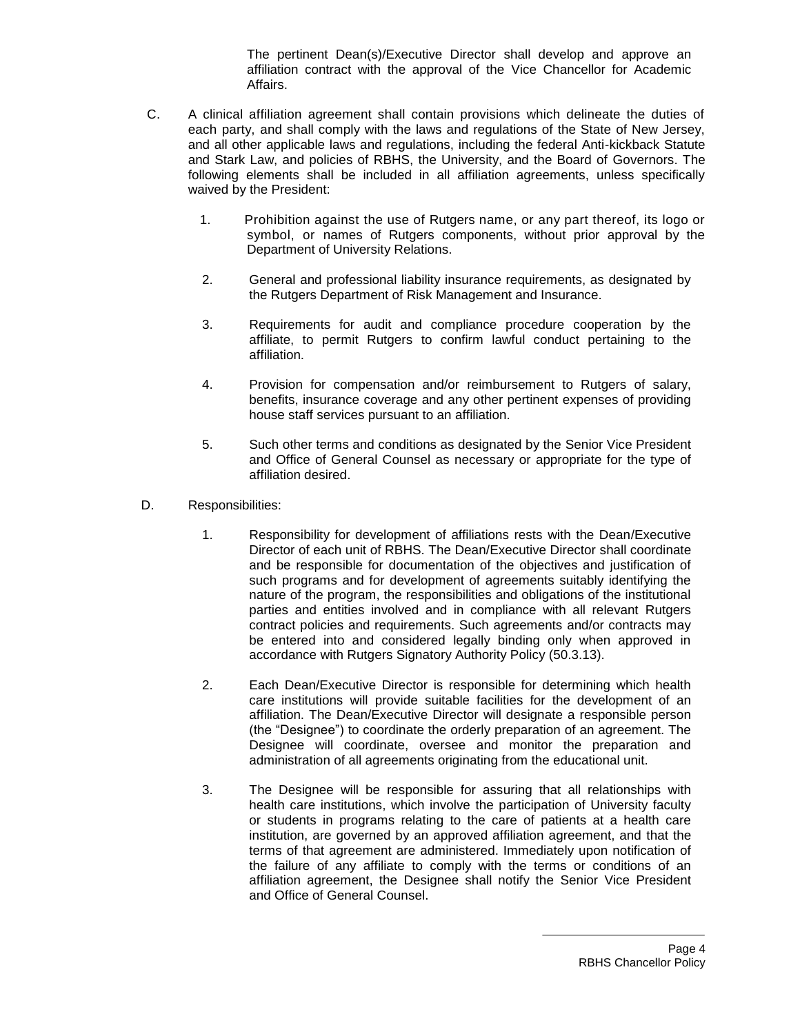The pertinent Dean(s)/Executive Director shall develop and approve an affiliation contract with the approval of the Vice Chancellor for Academic Affairs.

- C. A clinical affiliation agreement shall contain provisions which delineate the duties of each party, and shall comply with the laws and regulations of the State of New Jersey, and all other applicable laws and regulations, including the federal Anti-kickback Statute and Stark Law, and policies of RBHS, the University, and the Board of Governors. The following elements shall be included in all affiliation agreements, unless specifically waived by the President:
	- 1. Prohibition against the use of Rutgers name, or any part thereof, its logo or symbol, or names of Rutgers components, without prior approval by the Department of University Relations.
	- 2. General and professional liability insurance requirements, as designated by the Rutgers Department of Risk Management and Insurance.
	- 3. Requirements for audit and compliance procedure cooperation by the affiliate, to permit Rutgers to confirm lawful conduct pertaining to the affiliation.
	- 4. Provision for compensation and/or reimbursement to Rutgers of salary, benefits, insurance coverage and any other pertinent expenses of providing house staff services pursuant to an affiliation.
	- 5. Such other terms and conditions as designated by the Senior Vice President and Office of General Counsel as necessary or appropriate for the type of affiliation desired.
- D. Responsibilities:
	- 1. Responsibility for development of affiliations rests with the Dean/Executive Director of each unit of RBHS. The Dean/Executive Director shall coordinate and be responsible for documentation of the objectives and justification of such programs and for development of agreements suitably identifying the nature of the program, the responsibilities and obligations of the institutional parties and entities involved and in compliance with all relevant Rutgers contract policies and requirements. Such agreements and/or contracts may be entered into and considered legally binding only when approved in accordance with Rutgers Signatory Authority Policy (50.3.13).
	- 2. Each Dean/Executive Director is responsible for determining which health care institutions will provide suitable facilities for the development of an affiliation. The Dean/Executive Director will designate a responsible person (the "Designee") to coordinate the orderly preparation of an agreement. The Designee will coordinate, oversee and monitor the preparation and administration of all agreements originating from the educational unit.
	- 3. The Designee will be responsible for assuring that all relationships with health care institutions, which involve the participation of University faculty or students in programs relating to the care of patients at a health care institution, are governed by an approved affiliation agreement, and that the terms of that agreement are administered. Immediately upon notification of the failure of any affiliate to comply with the terms or conditions of an affiliation agreement, the Designee shall notify the Senior Vice President and Office of General Counsel.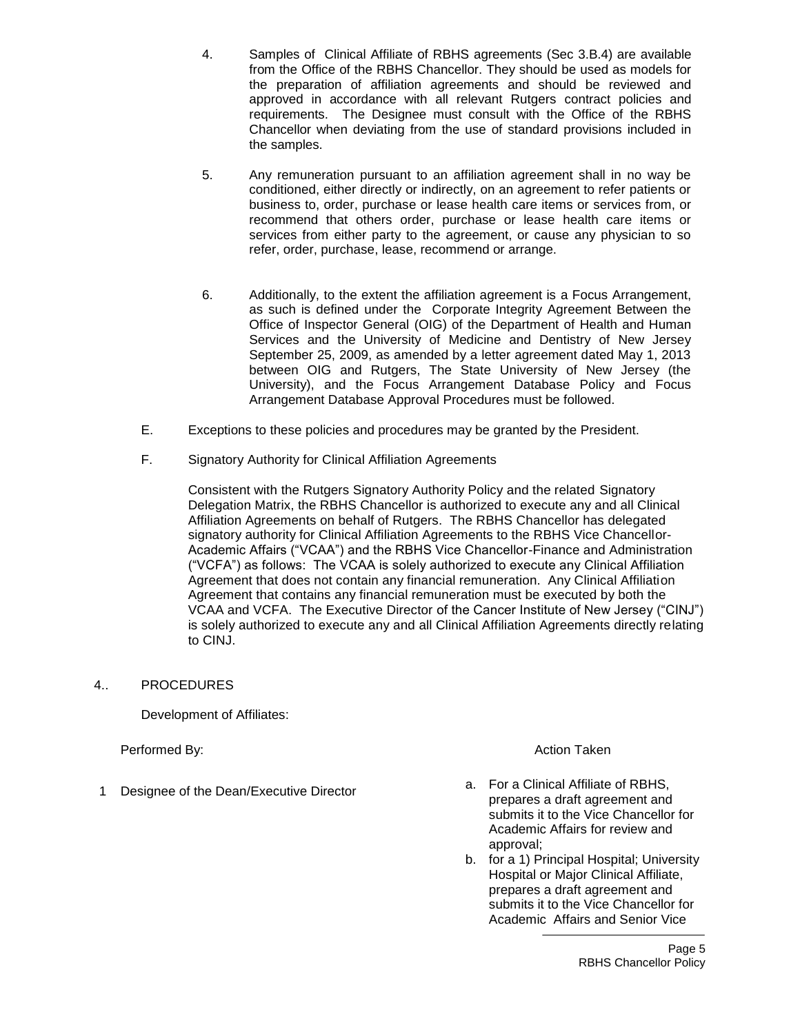- 4. Samples of Clinical Affiliate of RBHS agreements (Sec 3.B.4) are available from the Office of the RBHS Chancellor. They should be used as models for the preparation of affiliation agreements and should be reviewed and approved in accordance with all relevant Rutgers contract policies and requirements. The Designee must consult with the Office of the RBHS Chancellor when deviating from the use of standard provisions included in the samples.
- 5. Any remuneration pursuant to an affiliation agreement shall in no way be conditioned, either directly or indirectly, on an agreement to refer patients or business to, order, purchase or lease health care items or services from, or recommend that others order, purchase or lease health care items or services from either party to the agreement, or cause any physician to so refer, order, purchase, lease, recommend or arrange.
- 6. Additionally, to the extent the affiliation agreement is a Focus Arrangement, as such is defined under the Corporate Integrity Agreement Between the Office of Inspector General (OIG) of the Department of Health and Human Services and the University of Medicine and Dentistry of New Jersey September 25, 2009, as amended by a letter agreement dated May 1, 2013 between OIG and Rutgers, The State University of New Jersey (the University), and the Focus Arrangement Database Policy and Focus Arrangement Database Approval Procedures must be followed.
- E. Exceptions to these policies and procedures may be granted by the President.
- F. Signatory Authority for Clinical Affiliation Agreements

Consistent with the Rutgers Signatory Authority Policy and the related Signatory Delegation Matrix, the RBHS Chancellor is authorized to execute any and all Clinical Affiliation Agreements on behalf of Rutgers. The RBHS Chancellor has delegated signatory authority for Clinical Affiliation Agreements to the RBHS Vice Chancellor-Academic Affairs ("VCAA") and the RBHS Vice Chancellor-Finance and Administration ("VCFA") as follows: The VCAA is solely authorized to execute any Clinical Affiliation Agreement that does not contain any financial remuneration. Any Clinical Affiliation Agreement that contains any financial remuneration must be executed by both the VCAA and VCFA. The Executive Director of the Cancer Institute of New Jersey ("CINJ") is solely authorized to execute any and all Clinical Affiliation Agreements directly relating to CINJ.

4.. PROCEDURES

Development of Affiliates:

Performed By: Action Taken

- 1 Designee of the Dean/Executive Director **a.** For a Clinical Affiliate of RBHS, prepares a draft agreement and submits it to the Vice Chancellor for Academic Affairs for review and approval;
	- b. for a 1) Principal Hospital; University Hospital or Major Clinical Affiliate, prepares a draft agreement and submits it to the Vice Chancellor for Academic Affairs and Senior Vice